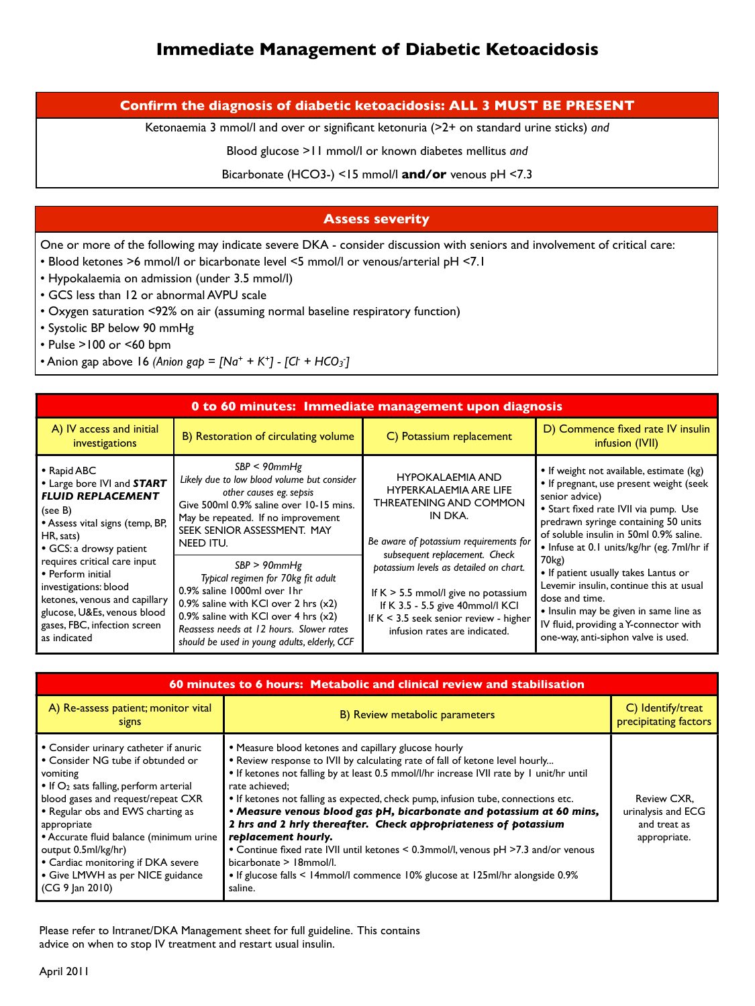## **Confirm the diagnosis of diabetic ketoacidosis: ALL 3 MUST BE PRESENT**

Ketonaemia 3 mmol/l and over or significant ketonuria (>2+ on standard urine sticks) *and*

Blood glucose >11 mmol/l or known diabetes mellitus *and*

Bicarbonate (HCO3-) <15 mmol/l **and/or** venous pH <7.3

## **Assess severity**

One or more of the following may indicate severe DKA - consider discussion with seniors and involvement of critical care:

- Blood ketones >6 mmol/l or bicarbonate level <5 mmol/l or venous/arterial pH <7.1
- Hypokalaemia on admission (under 3.5 mmol/l)
- GCS less than 12 or abnormal AVPU scale
- Oxygen saturation <92% on air (assuming normal baseline respiratory function)
- Systolic BP below 90 mmHg
- Pulse >100 or <60 bpm
- Anion gap above 16 *(Anion gap* =  $[Na^+ + K^+]$   $[Ch + HCO_3]$

| 0 to 60 minutes: Immediate management upon diagnosis                                                                                                                                                                                                                                                                                      |                                                                                                                                                                                                                                                                                                                                                                                                                                                             |                                                                                                                                                                                                                                                                                                                                                                              |                                                                                                                                                                                                                                                                                                                                                                                                                                                                                                |  |  |  |
|-------------------------------------------------------------------------------------------------------------------------------------------------------------------------------------------------------------------------------------------------------------------------------------------------------------------------------------------|-------------------------------------------------------------------------------------------------------------------------------------------------------------------------------------------------------------------------------------------------------------------------------------------------------------------------------------------------------------------------------------------------------------------------------------------------------------|------------------------------------------------------------------------------------------------------------------------------------------------------------------------------------------------------------------------------------------------------------------------------------------------------------------------------------------------------------------------------|------------------------------------------------------------------------------------------------------------------------------------------------------------------------------------------------------------------------------------------------------------------------------------------------------------------------------------------------------------------------------------------------------------------------------------------------------------------------------------------------|--|--|--|
| A) IV access and initial<br>investigations                                                                                                                                                                                                                                                                                                | B) Restoration of circulating volume                                                                                                                                                                                                                                                                                                                                                                                                                        | C) Potassium replacement                                                                                                                                                                                                                                                                                                                                                     | D) Commence fixed rate IV insulin<br>infusion (IVII)                                                                                                                                                                                                                                                                                                                                                                                                                                           |  |  |  |
| • Rapid ABC<br>• Large bore IVI and START<br><b>FLUID REPLACEMENT</b><br>(see B)<br>• Assess vital signs (temp, BP,<br>HR, sats)<br>• GCS: a drowsy patient<br>requires critical care input<br>• Perform initial<br>investigations: blood<br>ketones, venous and capillary<br>glucose, U&Es, venous blood<br>gases, FBC, infection screen | $SBP < 90$ mm $Hg$<br>Likely due to low blood volume but consider<br>other causes eg. sepsis<br>Give 500ml 0.9% saline over 10-15 mins.<br>May be repeated. If no improvement<br>SEEK SENIOR ASSESSMENT. MAY<br><b>NEED ITU.</b><br>$SBP > 90$ mm $Hg$<br>Typical regimen for 70kg fit adult<br>0.9% saline 1000ml over 1hr<br>0.9% saline with KCI over 2 hrs $(x2)$<br>0.9% saline with KCI over 4 hrs $(x2)$<br>Reassess needs at 12 hours. Slower rates | <b>HYPOKALAEMIA AND</b><br>HYPERKALAEMIA ARE LIFE<br><b>THREATENING AND COMMON</b><br>IN DKA.<br>Be aware of potassium requirements for<br>subsequent replacement. Check<br>potassium levels as detailed on chart.<br>If $K > 5.5$ mmol/l give no potassium<br>If K 3.5 - 5.5 give 40mmol/I KCI<br>If $K < 3.5$ seek senior review - higher<br>infusion rates are indicated. | • If weight not available, estimate (kg)<br>• If pregnant, use present weight (seek<br>senior advice)<br>• Start fixed rate IVII via pump. Use<br>predrawn syringe containing 50 units<br>of soluble insulin in 50ml 0.9% saline.<br>• Infuse at 0.1 units/kg/hr (eg. 7ml/hr if<br>70 <sub>kg</sub> )<br>• If patient usually takes Lantus or<br>Levemir insulin, continue this at usual<br>dose and time.<br>• Insulin may be given in same line as<br>IV fluid, providing a Y-connector with |  |  |  |

| 60 minutes to 6 hours: Metabolic and clinical review and stabilisation                                                                                                                                                                                                                                                                                                                                  |                                                                                                                                                                                                                                                                                                                                                                                                                                                                                                                                                                                                                                                                                                                        |                                                                   |  |  |
|---------------------------------------------------------------------------------------------------------------------------------------------------------------------------------------------------------------------------------------------------------------------------------------------------------------------------------------------------------------------------------------------------------|------------------------------------------------------------------------------------------------------------------------------------------------------------------------------------------------------------------------------------------------------------------------------------------------------------------------------------------------------------------------------------------------------------------------------------------------------------------------------------------------------------------------------------------------------------------------------------------------------------------------------------------------------------------------------------------------------------------------|-------------------------------------------------------------------|--|--|
| A) Re-assess patient; monitor vital<br>signs                                                                                                                                                                                                                                                                                                                                                            | B) Review metabolic parameters                                                                                                                                                                                                                                                                                                                                                                                                                                                                                                                                                                                                                                                                                         | $C$ ) Identify/treat<br>precipitating factors                     |  |  |
| • Consider urinary catheter if anuric<br>• Consider NG tube if obtunded or<br>vomiting<br>• If O <sub>2</sub> sats falling, perform arterial<br>blood gases and request/repeat CXR<br>• Regular obs and EWS charting as<br>appropriate<br>• Accurate fluid balance (minimum urine<br>output 0.5ml/kg/hr)<br>• Cardiac monitoring if DKA severe<br>• Give LMWH as per NICE guidance<br>$(CG 9$ Jan 2010) | • Measure blood ketones and capillary glucose hourly<br>• Review response to IVII by calculating rate of fall of ketone level hourly<br>• If ketones not falling by at least 0.5 mmol/l/hr increase IVII rate by 1 unit/hr until<br>rate achieved;<br>• If ketones not falling as expected, check pump, infusion tube, connections etc.<br>• Measure venous blood gas pH, bicarbonate and potassium at 60 mins,<br>2 hrs and 2 hrly thereafter. Check appropriateness of potassium<br>replacement hourly.<br>• Continue fixed rate IVII until ketones < 0.3mmol/l, venous pH >7.3 and/or venous<br>bicarbonate > 18mmol/l.<br>• If glucose falls < 14mmol/l commence 10% glucose at 125ml/hr alongside 0.9%<br>saline. | Review CXR,<br>urinalysis and ECG<br>and treat as<br>appropriate. |  |  |

Please refer to Intranet/DKA Management sheet for full guideline. This contains advice on when to stop IV treatment and restart usual insulin.